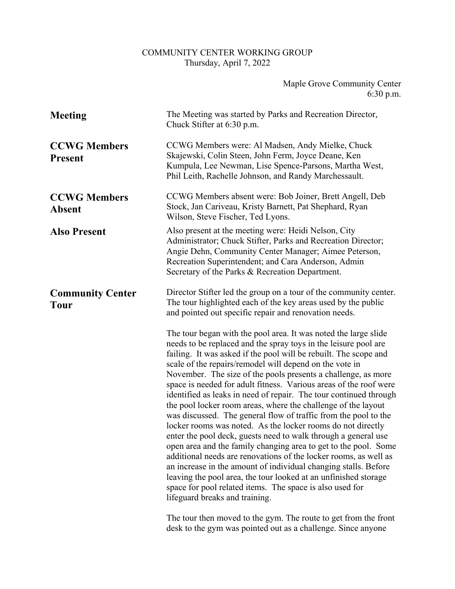## COMMUNITY CENTER WORKING GROUP Thursday, April 7, 2022

## Maple Grove Community Center 6:30 p.m.

| <b>Meeting</b>                         | The Meeting was started by Parks and Recreation Director,<br>Chuck Stifter at 6:30 p.m.                                                                                                                                                                                                                                                                                                                                                                                                                                                                                                                                                                                                                                                                                                                                                                                                                                                                                                                                                                                                                                      |
|----------------------------------------|------------------------------------------------------------------------------------------------------------------------------------------------------------------------------------------------------------------------------------------------------------------------------------------------------------------------------------------------------------------------------------------------------------------------------------------------------------------------------------------------------------------------------------------------------------------------------------------------------------------------------------------------------------------------------------------------------------------------------------------------------------------------------------------------------------------------------------------------------------------------------------------------------------------------------------------------------------------------------------------------------------------------------------------------------------------------------------------------------------------------------|
| <b>CCWG Members</b><br><b>Present</b>  | CCWG Members were: Al Madsen, Andy Mielke, Chuck<br>Skajewski, Colin Steen, John Ferm, Joyce Deane, Ken<br>Kumpula, Lee Newman, Lise Spence-Parsons, Martha West,<br>Phil Leith, Rachelle Johnson, and Randy Marchessault.                                                                                                                                                                                                                                                                                                                                                                                                                                                                                                                                                                                                                                                                                                                                                                                                                                                                                                   |
| <b>CCWG Members</b><br><b>Absent</b>   | CCWG Members absent were: Bob Joiner, Brett Angell, Deb<br>Stock, Jan Cariveau, Kristy Barnett, Pat Shephard, Ryan<br>Wilson, Steve Fischer, Ted Lyons.                                                                                                                                                                                                                                                                                                                                                                                                                                                                                                                                                                                                                                                                                                                                                                                                                                                                                                                                                                      |
| <b>Also Present</b>                    | Also present at the meeting were: Heidi Nelson, City<br>Administrator; Chuck Stifter, Parks and Recreation Director;<br>Angie Dehn, Community Center Manager; Aimee Peterson,<br>Recreation Superintendent; and Cara Anderson, Admin<br>Secretary of the Parks & Recreation Department.                                                                                                                                                                                                                                                                                                                                                                                                                                                                                                                                                                                                                                                                                                                                                                                                                                      |
| <b>Community Center</b><br><b>Tour</b> | Director Stifter led the group on a tour of the community center.<br>The tour highlighted each of the key areas used by the public<br>and pointed out specific repair and renovation needs.                                                                                                                                                                                                                                                                                                                                                                                                                                                                                                                                                                                                                                                                                                                                                                                                                                                                                                                                  |
|                                        | The tour began with the pool area. It was noted the large slide<br>needs to be replaced and the spray toys in the leisure pool are<br>failing. It was asked if the pool will be rebuilt. The scope and<br>scale of the repairs/remodel will depend on the vote in<br>November. The size of the pools presents a challenge, as more<br>space is needed for adult fitness. Various areas of the roof were<br>identified as leaks in need of repair. The tour continued through<br>the pool locker room areas, where the challenge of the layout<br>was discussed. The general flow of traffic from the pool to the<br>locker rooms was noted. As the locker rooms do not directly<br>enter the pool deck, guests need to walk through a general use<br>open area and the family changing area to get to the pool. Some<br>additional needs are renovations of the locker rooms, as well as<br>an increase in the amount of individual changing stalls. Before<br>leaving the pool area, the tour looked at an unfinished storage<br>space for pool related items. The space is also used for<br>lifeguard breaks and training. |
|                                        | The town than moved to the grup The next to get from the front                                                                                                                                                                                                                                                                                                                                                                                                                                                                                                                                                                                                                                                                                                                                                                                                                                                                                                                                                                                                                                                               |

The tour then moved to the gym. The route to get from the front desk to the gym was pointed out as a challenge. Since anyone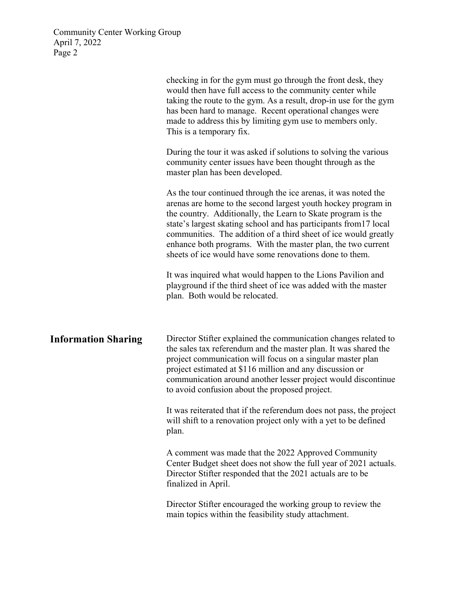|                            | checking in for the gym must go through the front desk, they<br>would then have full access to the community center while<br>taking the route to the gym. As a result, drop-in use for the gym<br>has been hard to manage. Recent operational changes were<br>made to address this by limiting gym use to members only.<br>This is a temporary fix.                                                                                                                |
|----------------------------|--------------------------------------------------------------------------------------------------------------------------------------------------------------------------------------------------------------------------------------------------------------------------------------------------------------------------------------------------------------------------------------------------------------------------------------------------------------------|
|                            | During the tour it was asked if solutions to solving the various<br>community center issues have been thought through as the<br>master plan has been developed.                                                                                                                                                                                                                                                                                                    |
|                            | As the tour continued through the ice arenas, it was noted the<br>arenas are home to the second largest youth hockey program in<br>the country. Additionally, the Learn to Skate program is the<br>state's largest skating school and has participants from 17 local<br>communities. The addition of a third sheet of ice would greatly<br>enhance both programs. With the master plan, the two current<br>sheets of ice would have some renovations done to them. |
|                            | It was inquired what would happen to the Lions Pavilion and<br>playground if the third sheet of ice was added with the master<br>plan. Both would be relocated.                                                                                                                                                                                                                                                                                                    |
| <b>Information Sharing</b> | Director Stifter explained the communication changes related to<br>the sales tax referendum and the master plan. It was shared the<br>project communication will focus on a singular master plan<br>project estimated at \$116 million and any discussion or<br>communication around another lesser project would discontinue<br>to avoid confusion about the proposed project.                                                                                    |
|                            | It was reiterated that if the referendum does not pass, the project<br>will shift to a renovation project only with a yet to be defined<br>plan.                                                                                                                                                                                                                                                                                                                   |
|                            | A comment was made that the 2022 Approved Community<br>Center Budget sheet does not show the full year of 2021 actuals.<br>Director Stifter responded that the 2021 actuals are to be<br>finalized in April.                                                                                                                                                                                                                                                       |
|                            | Director Stifter encouraged the working group to review the<br>main topics within the feasibility study attachment.                                                                                                                                                                                                                                                                                                                                                |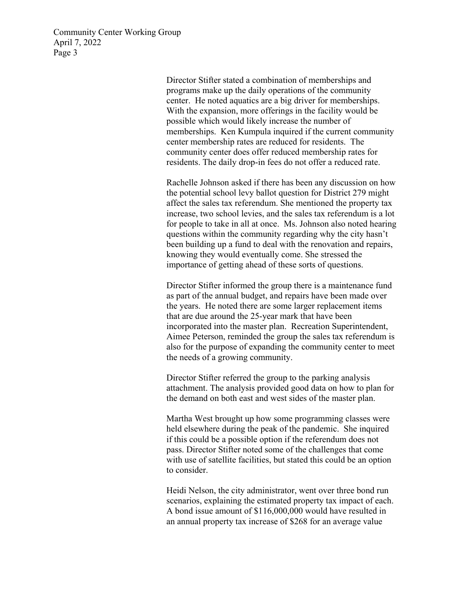> Director Stifter stated a combination of memberships and programs make up the daily operations of the community center. He noted aquatics are a big driver for memberships. With the expansion, more offerings in the facility would be possible which would likely increase the number of memberships. Ken Kumpula inquired if the current community center membership rates are reduced for residents. The community center does offer reduced membership rates for residents. The daily drop-in fees do not offer a reduced rate.

Rachelle Johnson asked if there has been any discussion on how the potential school levy ballot question for District 279 might affect the sales tax referendum. She mentioned the property tax increase, two school levies, and the sales tax referendum is a lot for people to take in all at once. Ms. Johnson also noted hearing questions within the community regarding why the city hasn't been building up a fund to deal with the renovation and repairs, knowing they would eventually come. She stressed the importance of getting ahead of these sorts of questions.

Director Stifter informed the group there is a maintenance fund as part of the annual budget, and repairs have been made over the years. He noted there are some larger replacement items that are due around the 25-year mark that have been incorporated into the master plan. Recreation Superintendent, Aimee Peterson, reminded the group the sales tax referendum is also for the purpose of expanding the community center to meet the needs of a growing community.

Director Stifter referred the group to the parking analysis attachment. The analysis provided good data on how to plan for the demand on both east and west sides of the master plan.

Martha West brought up how some programming classes were held elsewhere during the peak of the pandemic. She inquired if this could be a possible option if the referendum does not pass. Director Stifter noted some of the challenges that come with use of satellite facilities, but stated this could be an option to consider.

Heidi Nelson, the city administrator, went over three bond run scenarios, explaining the estimated property tax impact of each. A bond issue amount of \$116,000,000 would have resulted in an annual property tax increase of \$268 for an average value